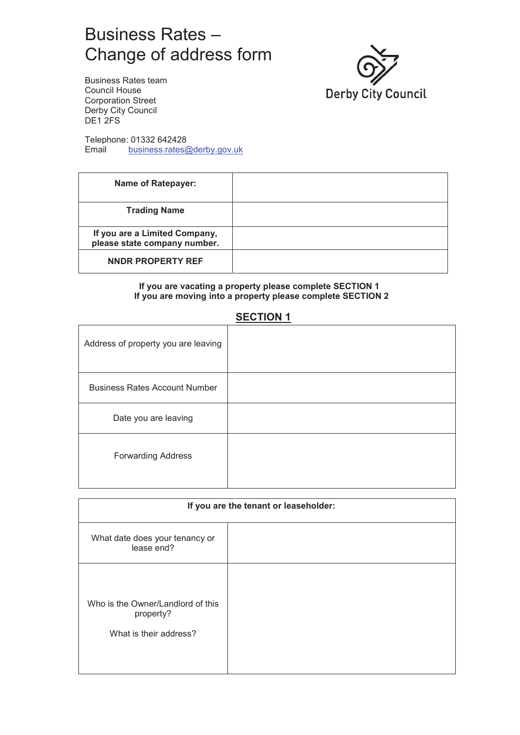# Business Rates – Change of address form



Business Rates team Council House Corporation Street Derby City Council DE<sub>1</sub>2FS

Telephone: 01332 642428<br>Email business.rates@ business.rates@derby.gov.uk

| <b>Name of Ratepayer:</b>                                     |  |
|---------------------------------------------------------------|--|
| <b>Trading Name</b>                                           |  |
| If you are a Limited Company,<br>please state company number. |  |
| NNDR PROPERTY REF                                             |  |

#### **If you are vacating a property please complete SECTION 1 If you are moving into a property please complete SECTION 2**

### **SECTION 1**

| Address of property you are leaving  |  |
|--------------------------------------|--|
| <b>Business Rates Account Number</b> |  |
| Date you are leaving                 |  |
| <b>Forwarding Address</b>            |  |

| If you are the tenant or leaseholder:                                    |  |
|--------------------------------------------------------------------------|--|
| What date does your tenancy or<br>lease end?                             |  |
| Who is the Owner/Landlord of this<br>property?<br>What is their address? |  |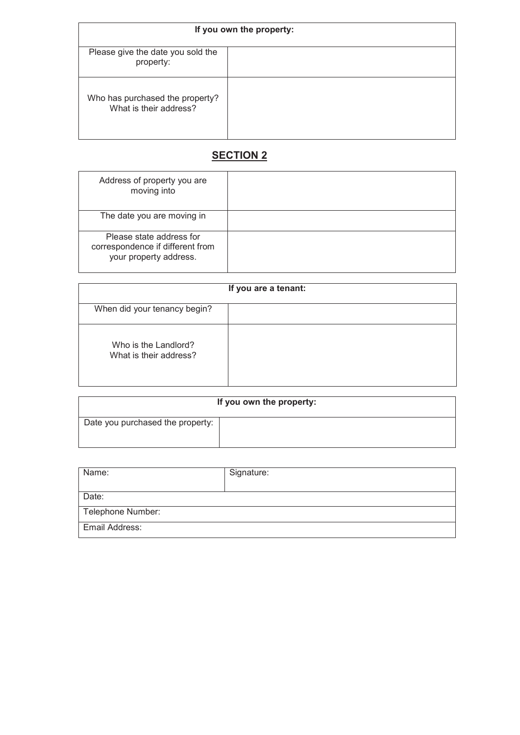| If you own the property:                                  |  |
|-----------------------------------------------------------|--|
| Please give the date you sold the<br>property:            |  |
| Who has purchased the property?<br>What is their address? |  |

## **SECTION 2**

| Address of property you are<br>moving into                                             |  |
|----------------------------------------------------------------------------------------|--|
| The date you are moving in                                                             |  |
| Please state address for<br>correspondence if different from<br>your property address. |  |

| If you are a tenant:                           |  |
|------------------------------------------------|--|
| When did your tenancy begin?                   |  |
| Who is the Landlord?<br>What is their address? |  |

| If you own the property:         |  |
|----------------------------------|--|
| Date you purchased the property: |  |

| Name:             | Signature: |
|-------------------|------------|
| Date:             |            |
| Telephone Number: |            |
| Email Address:    |            |
|                   |            |